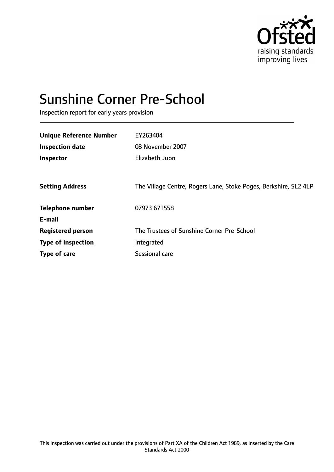

# Sunshine Corner Pre-School

Inspection report for early years provision

| <b>Unique Reference Number</b> | EY263404                                                         |
|--------------------------------|------------------------------------------------------------------|
| <b>Inspection date</b>         | 08 November 2007                                                 |
| Inspector                      | Elizabeth Juon                                                   |
|                                |                                                                  |
| <b>Setting Address</b>         | The Village Centre, Rogers Lane, Stoke Poges, Berkshire, SL2 4LP |
| <b>Telephone number</b>        | 07973 671558                                                     |
| E-mail                         |                                                                  |
| <b>Registered person</b>       | The Trustees of Sunshine Corner Pre-School                       |
| <b>Type of inspection</b>      | Integrated                                                       |
| Type of care                   | Sessional care                                                   |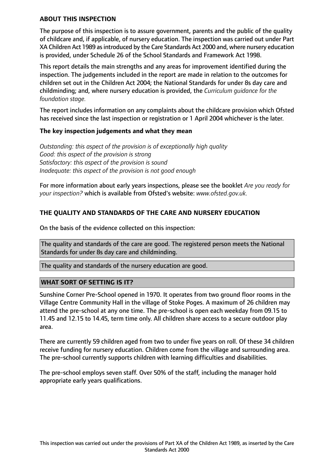#### **ABOUT THIS INSPECTION**

The purpose of this inspection is to assure government, parents and the public of the quality of childcare and, if applicable, of nursery education. The inspection was carried out under Part XA Children Act 1989 as introduced by the Care Standards Act 2000 and, where nursery education is provided, under Schedule 26 of the School Standards and Framework Act 1998.

This report details the main strengths and any areas for improvement identified during the inspection. The judgements included in the report are made in relation to the outcomes for children set out in the Children Act 2004; the National Standards for under 8s day care and childminding; and, where nursery education is provided, the *Curriculum guidance for the foundation stage.*

The report includes information on any complaints about the childcare provision which Ofsted has received since the last inspection or registration or 1 April 2004 whichever is the later.

## **The key inspection judgements and what they mean**

*Outstanding: this aspect of the provision is of exceptionally high quality Good: this aspect of the provision is strong Satisfactory: this aspect of the provision is sound Inadequate: this aspect of the provision is not good enough*

For more information about early years inspections, please see the booklet *Are you ready for your inspection?* which is available from Ofsted's website: *www.ofsted.gov.uk.*

# **THE QUALITY AND STANDARDS OF THE CARE AND NURSERY EDUCATION**

On the basis of the evidence collected on this inspection:

The quality and standards of the care are good. The registered person meets the National Standards for under 8s day care and childminding.

The quality and standards of the nursery education are good.

## **WHAT SORT OF SETTING IS IT?**

Sunshine Corner Pre-School opened in 1970. It operates from two ground floor rooms in the Village Centre Community Hall in the village of Stoke Poges. A maximum of 26 children may attend the pre-school at any one time. The pre-school is open each weekday from 09.15 to 11.45 and 12.15 to 14.45, term time only. All children share access to a secure outdoor play area.

There are currently 59 children aged from two to under five years on roll. Of these 34 children receive funding for nursery education. Children come from the village and surrounding area. The pre-school currently supports children with learning difficulties and disabilities.

The pre-school employs seven staff. Over 50% of the staff, including the manager hold appropriate early years qualifications.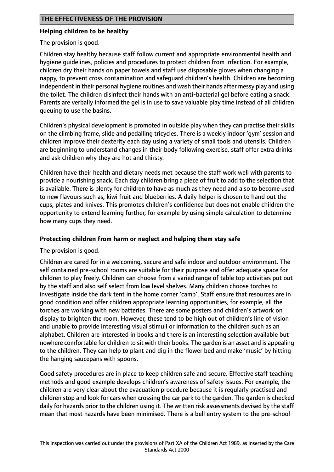## **Helping children to be healthy**

The provision is good.

Children stay healthy because staff follow current and appropriate environmental health and hygiene guidelines, policies and procedures to protect children from infection. For example, children dry their hands on paper towels and staff use disposable gloves when changing a nappy, to prevent cross contamination and safeguard children's health. Children are becoming independent in their personal hygiene routines and wash their hands after messy play and using the toilet. The children disinfect their hands with an anti-bacterial gel before eating a snack. Parents are verbally informed the gel is in use to save valuable play time instead of all children queuing to use the basins.

Children's physical development is promoted in outside play when they can practise their skills on the climbing frame, slide and pedalling tricycles. There is a weekly indoor 'gym' session and children improve their dexterity each day using a variety of small tools and utensils. Children are beginning to understand changes in their body following exercise, staff offer extra drinks and ask children why they are hot and thirsty.

Children have their health and dietary needs met because the staff work well with parents to provide a nourishing snack. Each day children bring a piece of fruit to add to the selection that is available. There is plenty for children to have as much as they need and also to become used to new flavours such as, kiwi fruit and blueberries. A daily helper is chosen to hand out the cups, plates and knives. This promotes children's confidence but does not enable children the opportunity to extend learning further, for example by using simple calculation to determine how many cups they need.

## **Protecting children from harm or neglect and helping them stay safe**

The provision is good.

Children are cared for in a welcoming, secure and safe indoor and outdoor environment. The self contained pre-school rooms are suitable for their purpose and offer adequate space for children to play freely. Children can choose from a varied range of table top activities put out by the staff and also self select from low level shelves. Many children choose torches to investigate inside the dark tent in the home corner 'camp'. Staff ensure that resources are in good condition and offer children appropriate learning opportunities, for example, all the torches are working with new batteries. There are some posters and children's artwork on display to brighten the room. However, these tend to be high out of children's line of vision and unable to provide interesting visual stimuli or information to the children such as an alphabet. Children are interested in books and there is an interesting selection available but nowhere comfortable for children to sit with their books. The garden is an asset and is appealing to the children. They can help to plant and dig in the flower bed and make 'music' by hitting the hanging saucepans with spoons.

Good safety procedures are in place to keep children safe and secure. Effective staff teaching methods and good example develops children's awareness of safety issues. For example, the children are very clear about the evacuation procedure because it is regularly practised and children stop and look for cars when crossing the car park to the garden. The garden is checked daily for hazards prior to the children using it. The written risk assessments devised by the staff mean that most hazards have been minimised. There is a bell entry system to the pre-school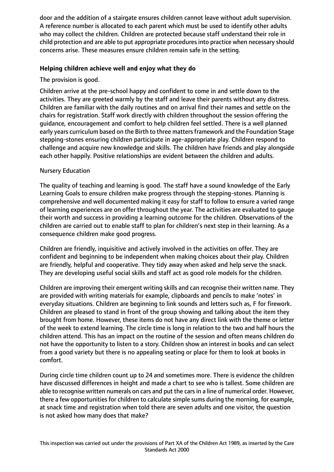door and the addition of a stairgate ensures children cannot leave without adult supervision. A reference number is allocated to each parent which must be used to identify other adults who may collect the children. Children are protected because staff understand their role in child protection and are able to put appropriate procedures into practice when necessary should concerns arise. These measures ensure children remain safe in the setting.

## **Helping children achieve well and enjoy what they do**

The provision is good.

Children arrive at the pre-school happy and confident to come in and settle down to the activities. They are greeted warmly by the staff and leave their parents without any distress. Children are familiar with the daily routines and on arrival find their names and settle on the chairs for registration. Staff work directly with children throughout the session offering the guidance, encouragement and comfort to help children feel settled. There is a well planned early years curriculum based on the Birth to three matters framework and the Foundation Stage stepping-stones ensuring children participate in age-appropriate play. Children respond to challenge and acquire new knowledge and skills. The children have friends and play alongside each other happily. Positive relationships are evident between the children and adults.

# Nursery Education

The quality of teaching and learning is good. The staff have a sound knowledge of the Early Learning Goals to ensure children make progress through the stepping-stones. Planning is comprehensive and well documented making it easy for staff to follow to ensure a varied range of learning experiences are on offer throughout the year. The activities are evaluated to gauge their worth and success in providing a learning outcome for the children. Observations of the children are carried out to enable staff to plan for children's next step in their learning. As a consequence children make good progress.

Children are friendly, inquisitive and actively involved in the activities on offer. They are confident and beginning to be independent when making choices about their play. Children are friendly, helpful and cooperative. They tidy away when asked and help serve the snack. They are developing useful social skills and staff act as good role models for the children.

Children are improving their emergent writing skills and can recognise their written name. They are provided with writing materials for example, clipboards and pencils to make 'notes' in everyday situations. Children are beginning to link sounds and letters such as, F for firework. Children are pleased to stand in front of the group showing and talking about the item they brought from home. However, these items do not have any direct link with the theme or letter of the week to extend learning. The circle time is long in relation to the two and half hours the children attend. This has an impact on the routine of the session and often means children do not have the opportunity to listen to a story. Children show an interest in books and can select from a good variety but there is no appealing seating or place for them to look at books in comfort.

During circle time children count up to 24 and sometimes more. There is evidence the children have discussed differences in height and made a chart to see who is tallest. Some children are able to recognise written numerals on cars and put the cars in a line of numerical order. However, there a few opportunities for children to calculate simple sums during the morning, for example, at snack time and registration when told there are seven adults and one visitor, the question is not asked how many does that make?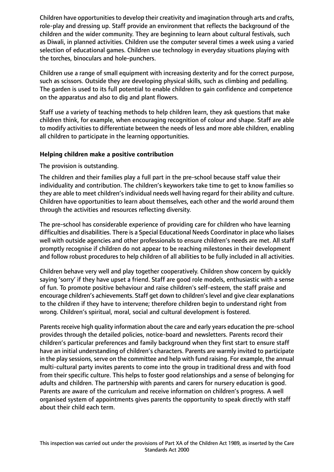Children have opportunities to develop their creativity and imagination through arts and crafts, role-play and dressing up. Staff provide an environment that reflects the background of the children and the wider community. They are beginning to learn about cultural festivals, such as Diwali, in planned activities. Children use the computer several times a week using a varied selection of educational games. Children use technology in everyday situations playing with the torches, binoculars and hole-punchers.

Children use a range of small equipment with increasing dexterity and for the correct purpose, such as scissors. Outside they are developing physical skills, such as climbing and pedalling. The garden is used to its full potential to enable children to gain confidence and competence on the apparatus and also to dig and plant flowers.

Staff use a variety of teaching methods to help children learn, they ask questions that make children think, for example, when encouraging recognition of colour and shape. Staff are able to modify activities to differentiate between the needs of less and more able children, enabling all children to participate in the learning opportunities.

## **Helping children make a positive contribution**

The provision is outstanding.

The children and their families play a full part in the pre-school because staff value their individuality and contribution. The children's keyworkers take time to get to know families so they are able to meet children's individual needs well having regard for their ability and culture. Children have opportunities to learn about themselves, each other and the world around them through the activities and resources reflecting diversity.

The pre-school has considerable experience of providing care for children who have learning difficulties and disabilities. There is a Special Educational Needs Coordinator in place who liaises well with outside agencies and other professionals to ensure children's needs are met. All staff promptly recognise if children do not appear to be reaching milestones in their development and follow robust procedures to help children of all abilities to be fully included in all activities.

Children behave very well and play together cooperatively. Children show concern by quickly saying 'sorry' if they have upset a friend. Staff are good role models, enthusiastic with a sense of fun. To promote positive behaviour and raise children's self-esteem, the staff praise and encourage children's achievements. Staff get down to children'slevel and give clear explanations to the children if they have to intervene; therefore children begin to understand right from wrong. Children's spiritual, moral, social and cultural development is fostered.

Parents receive high quality information about the care and early years education the pre-school provides through the detailed policies, notice-board and newsletters. Parents record their children's particular preferences and family background when they first start to ensure staff have an initial understanding of children's characters. Parents are warmly invited to participate in the play sessions, serve on the committee and help with fund raising. For example, the annual multi-cultural party invites parents to come into the group in traditional dress and with food from their specific culture. This helps to foster good relationships and a sense of belonging for adults and children. The partnership with parents and carers for nursery education is good. Parents are aware of the curriculum and receive information on children's progress. A well organised system of appointments gives parents the opportunity to speak directly with staff about their child each term.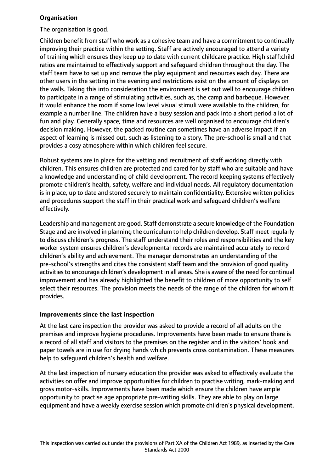## **Organisation**

The organisation is good.

Children benefit from staff who work as a cohesive team and have a commitment to continually improving their practice within the setting. Staff are actively encouraged to attend a variety of training which ensures they keep up to date with current childcare practice. High staff:child ratios are maintained to effectively support and safeguard children throughout the day. The staff team have to set up and remove the play equipment and resources each day. There are other users in the setting in the evening and restrictions exist on the amount of displays on the walls. Taking this into consideration the environment is set out well to encourage children to participate in a range of stimulating activities, such as, the camp and barbeque. However, it would enhance the room if some low level visual stimuli were available to the children, for example a number line. The children have a busy session and pack into a short period a lot of fun and play. Generally space, time and resources are well organised to encourage children's decision making. However, the packed routine can sometimes have an adverse impact if an aspect of learning is missed out, such as listening to a story. The pre-school is small and that provides a cosy atmosphere within which children feel secure.

Robust systems are in place for the vetting and recruitment of staff working directly with children. This ensures children are protected and cared for by staff who are suitable and have a knowledge and understanding of child development. The record keeping systems effectively promote children's health, safety, welfare and individual needs. All regulatory documentation is in place, up to date and stored securely to maintain confidentiality. Extensive written policies and procedures support the staff in their practical work and safeguard children's welfare effectively.

Leadership and management are good. Staff demonstrate a secure knowledge of the Foundation Stage and are involved in planning the curriculum to help children develop. Staff meet regularly to discuss children's progress. The staff understand their roles and responsibilities and the key worker system ensures children's developmental records are maintained accurately to record children's ability and achievement. The manager demonstrates an understanding of the pre-school's strengths and cites the consistent staff team and the provision of good quality activities to encourage children's development in all areas. She is aware of the need for continual improvement and has already highlighted the benefit to children of more opportunity to self select their resources. The provision meets the needs of the range of the children for whom it provides.

## **Improvements since the last inspection**

At the last care inspection the provider was asked to provide a record of all adults on the premises and improve hygiene procedures. Improvements have been made to ensure there is a record of all staff and visitors to the premises on the register and in the visitors' book and paper towels are in use for drying hands which prevents cross contamination. These measures help to safeguard children's health and welfare.

At the last inspection of nursery education the provider was asked to effectively evaluate the activities on offer and improve opportunities for children to practise writing, mark-making and gross motor-skills. Improvements have been made which ensure the children have ample opportunity to practise age appropriate pre-writing skills. They are able to play on large equipment and have a weekly exercise session which promote children's physical development.